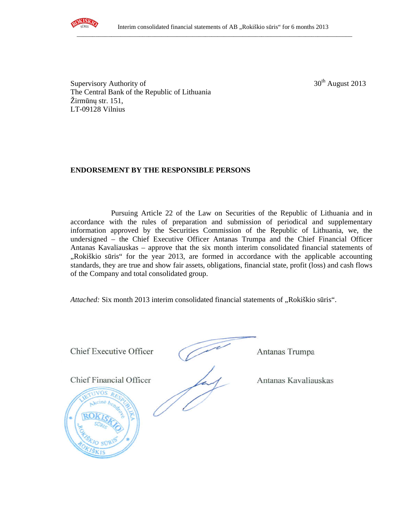

Supervisory Authority of  $30<sup>th</sup>$  August 2013 The Central Bank of the Republic of Lithuania Žirmūnų str. 151, LT-09128 Vilnius

## **ENDORSEMENT BY THE RESPONSIBLE PERSONS**

Pursuing Article 22 of the Law on Securities of the Republic of Lithuania and in accordance with the rules of preparation and submission of periodical and supplementary information approved by the Securities Commission of the Republic of Lithuania, we, the undersigned – the Chief Executive Officer Antanas Trumpa and the Chief Financial Officer Antanas Kavaliauskas – approve that the six month interim consolidated financial statements of "Rokiškio sūris" for the year 2013, are formed in accordance with the applicable accounting standards, they are true and show fair assets, obligations, financial state, profit (loss) and cash flows of the Company and total consolidated group.

*Attached:* Six month 2013 interim consolidated financial statements of "Rokiškio sūris".

Chief Executive Officer (Antanas Trumpa

Chief Financial Officer Antanas Kavaliauskas

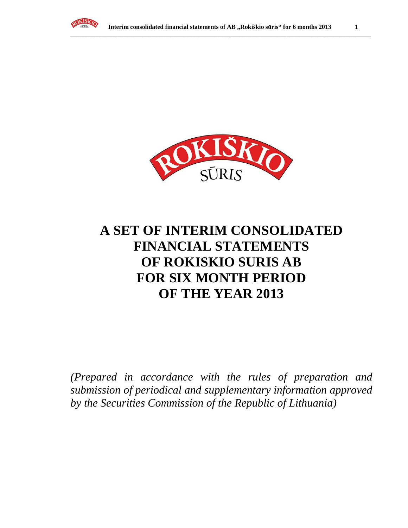



# **A SET OF INTERIM CONSOLIDATED FINANCIAL STATEMENTS OF ROKISKIO SURIS AB FOR SIX MONTH PERIOD OF THE YEAR 2013**

*(Prepared in accordance with the rules of preparation and submission of periodical and supplementary information approved by the Securities Commission of the Republic of Lithuania)*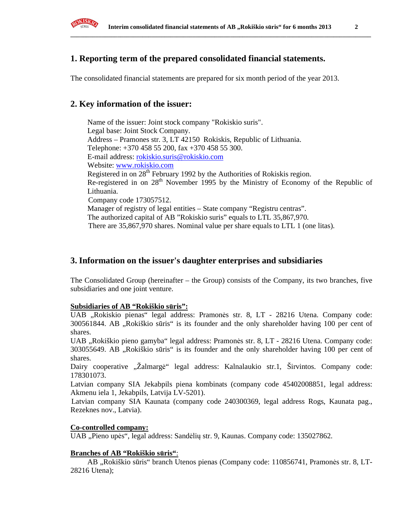

## **1. Reporting term of the prepared consolidated financial statements.**

The consolidated financial statements are prepared for six month period of the year 2013.

## **2. Key information of the issuer:**

Name of the issuer: Joint stock company "Rokiskio suris". Legal base: Joint Stock Company. Address – Pramones str. 3, LT 42150 Rokiskis, Republic of Lithuania. Telephone: +370 458 55 200, fax +370 458 55 300. E-mail address: rokiskio.suris@rokiskio.com Website: www.rokiskio.com Registered in on  $28<sup>th</sup>$  February 1992 by the Authorities of Rokiskis region. Re-registered in on 28<sup>th</sup> November 1995 by the Ministry of Economy of the Republic of Lithuania. Company code 173057512. Manager of registry of legal entities – State company "Registru centras". The authorized capital of AB "Rokiskio suris" equals to LTL 35,867,970. There are 35,867,970 shares. Nominal value per share equals to LTL 1 (one litas).

## **3. Information on the issuer's daughter enterprises and subsidiaries**

The Consolidated Group (hereinafter – the Group) consists of the Company, its two branches, five subsidiaries and one joint venture.

#### **Subsidiaries of AB "Rokiškio s**ū**ris":**

UAB "Rokiskio pienas" legal address: Pramonės str. 8, LT - 28216 Utena. Company code: 300561844. AB "Rokiškio sūris" is its founder and the only shareholder having 100 per cent of shares.

UAB "Rokiškio pieno gamyba" legal address: Pramonės str. 8, LT - 28216 Utena. Company code: 303055649. AB "Rokiškio sūris" is its founder and the only shareholder having 100 per cent of shares.

Dairy cooperative "Žalmargė" legal address: Kalnalaukio str.1, Širvintos. Company code: 178301073.

Latvian company SIA Jekabpils piena kombinats (company code 45402008851, legal address: Akmenu iela 1, Jekabpils, Latvija LV-5201).

Latvian company SIA Kaunata (company code 240300369, legal address Rogs, Kaunata pag., Rezeknes nov., Latvia).

#### **Co-controlled company:**

UAB "Pieno upės", legal address: Sandėlių str. 9, Kaunas. Company code: 135027862.

#### **Branches of AB "Rokiškio s**ū**ris"**:

AB "Rokiškio sūris" branch Utenos pienas (Company code: 110856741, Pramonės str. 8, LT-28216 Utena);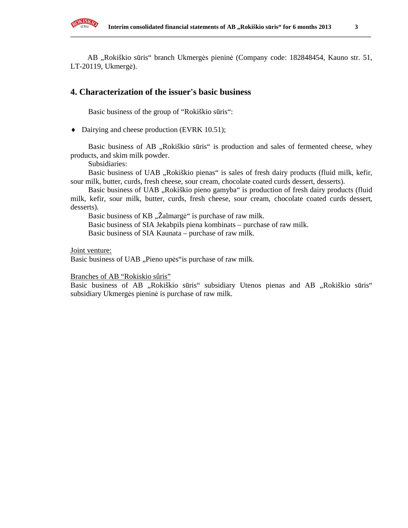

AB "Rokiškio sūris" branch Ukmergės pieninė (Company code: 182848454, Kauno str. 51, LT-20119, Ukmergė).

## **4. Characterization of the issuer's basic business**

Basic business of the group of "Rokiškio sūris":

♦ Dairying and cheese production (EVRK 10.51);

Basic business of AB "Rokiškio sūris" is production and sales of fermented cheese, whey products, and skim milk powder.

Subsidiaries:

Basic business of UAB "Rokiškio pienas" is sales of fresh dairy products (fluid milk, kefir, sour milk, butter, curds, fresh cheese, sour cream, chocolate coated curds dessert, desserts).

Basic business of UAB "Rokiškio pieno gamyba" is production of fresh dairy products (fluid milk, kefir, sour milk, butter, curds, fresh cheese, sour cream, chocolate coated curds dessert, desserts).

Basic business of KB "Zalmargė" is purchase of raw milk.

Basic business of SIA Jekabpils piena kombinats – purchase of raw milk.

Basic business of SIA Kaunata – purchase of raw milk.

Joint venture:

Basic business of UAB "Pieno upės" is purchase of raw milk.

Branches of AB "Rokiskio sûris"

Basic business of AB "Rokiškio sūris" subsidiary Utenos pienas and AB "Rokiškio sūris" subsidiary Ukmergės pieninė is purchase of raw milk.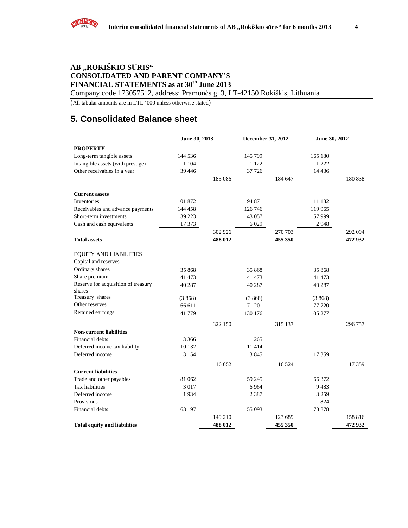## **AB "ROKIŠKIO S**Ū**RIS" CONSOLIDATED AND PARENT COMPANY'S FINANCIAL STATEMENTS as at 30th June 2013**

Company code 173057512, address: Pramonės g. 3, LT-42150 Rokiškis, Lithuania

(All tabular amounts are in LTL '000 unless otherwise stated)

# **5. Consolidated Balance sheet**

|                                               | June 30, 2013 |         | December 31, 2012 |         | June 30, 2012 |         |
|-----------------------------------------------|---------------|---------|-------------------|---------|---------------|---------|
| <b>PROPERTY</b>                               |               |         |                   |         |               |         |
| Long-term tangible assets                     | 144 536       |         | 145 799           |         | 165 180       |         |
| Intangible assets (with prestige)             | 1 1 0 4       |         | 1 1 2 2           |         | 1 2 2 2       |         |
| Other receivables in a year                   | 39 44 6       |         | 37 7 26           |         | 14 4 36       |         |
|                                               |               | 185 086 |                   | 184 647 |               | 180838  |
| <b>Current assets</b>                         |               |         |                   |         |               |         |
| Inventories                                   | 101 872       |         | 94 871            |         | 111 182       |         |
| Receivables and advance payments              | 144 458       |         | 126 746           |         | 119 965       |         |
| Short-term investments                        | 39 223        |         | 43 0 57           |         | 57 999        |         |
| Cash and cash equivalents                     | 17 373        |         | 6 0 29            |         | 2948          |         |
|                                               |               | 302 926 |                   | 270 703 |               | 292 094 |
| <b>Total assets</b>                           |               | 488 012 |                   | 455 350 |               | 472 932 |
| <b>EQUITY AND LIABILITIES</b>                 |               |         |                   |         |               |         |
| Capital and reserves                          |               |         |                   |         |               |         |
| Ordinary shares                               | 35 868        |         | 35 868            |         | 35 868        |         |
| Share premium                                 | 41 473        |         | 41 473            |         | 41 473        |         |
| Reserve for acquisition of treasury<br>shares | 40 287        |         | 40 287            |         | 40 287        |         |
| Treasury shares                               | (3868)        |         | (3868)            |         | (3868)        |         |
| Other reserves                                | 66 611        |         | 71 201            |         | 77 720        |         |
| Retained earnings                             | 141 779       |         | 130 176           |         | 105 277       |         |
|                                               |               | 322 150 |                   | 315 137 |               | 296 757 |
| <b>Non-current liabilities</b>                |               |         |                   |         |               |         |
| Financial debts                               | 3 3 6 6       |         | 1 2 6 5           |         |               |         |
| Deferred income tax liability                 | 10 132        |         | 11 4 14           |         |               |         |
| Deferred income                               | 3 1 5 4       |         | 3845              |         | 17 359        |         |
|                                               |               | 16 652  |                   | 16524   |               | 17 359  |
| <b>Current liabilities</b>                    |               |         |                   |         |               |         |
| Trade and other payables                      | 81 062        |         | 59 245            |         | 66 372        |         |
| Tax liabilities                               | 3 0 1 7       |         | 6964              |         | 9483          |         |
| Deferred income                               | 1934          |         | 2 3 8 7           |         | 3 2 5 9       |         |
| Provisions                                    |               |         |                   |         | 824           |         |
| Financial debts                               | 63 197        |         | 55 093            |         | 78 878        |         |
|                                               |               | 149 210 |                   | 123 689 |               | 158 816 |
| <b>Total equity and liabilities</b>           |               | 488 012 |                   | 455 350 |               | 472 932 |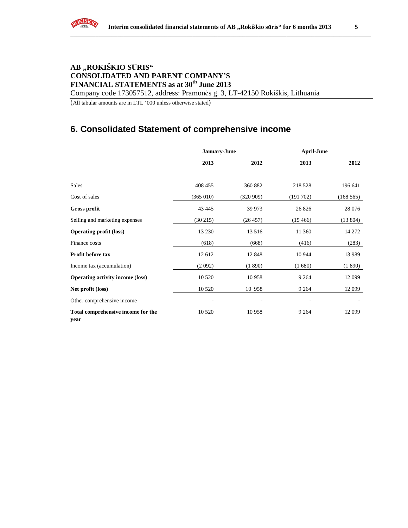## **AB "ROKIŠKIO S**Ū**RIS" CONSOLIDATED AND PARENT COMPANY'S FINANCIAL STATEMENTS as at 30th June 2013**

Company code 173057512, address: Pramonės g. 3, LT-42150 Rokiškis, Lithuania

(All tabular amounts are in LTL '000 unless otherwise stated)

## **6. Consolidated Statement of comprehensive income**

|                                            | January-June |          | <b>April-June</b> |          |
|--------------------------------------------|--------------|----------|-------------------|----------|
|                                            | 2013         | 2012     | 2013              | 2012     |
| <b>Sales</b>                               | 408 455      | 360 882  | 218 528           | 196 641  |
| Cost of sales                              | (365 010)    | (320909) | (191702)          | (168565) |
| Gross profit                               | 43 445       | 39 973   | 26 8 26           | 28 076   |
| Selling and marketing expenses             | (30215)      | (26457)  | (15466)           | (13804)  |
| <b>Operating profit (loss)</b>             | 13 2 30      | 13516    | 11 360            | 14 272   |
| Finance costs                              | (618)        | (668)    | (416)             | (283)    |
| <b>Profit before tax</b>                   | 12 612       | 12848    | 10 944            | 13 9 89  |
| Income tax (accumulation)                  | (2092)       | (1890)   | (1680)            | (1890)   |
| <b>Operating activity income (loss)</b>    | 10 5 20      | 10958    | 9 2 6 4           | 12 099   |
| Net profit (loss)                          | 10 5 20      | 10 958   | 9 2 6 4           | 12 099   |
| Other comprehensive income                 |              |          |                   |          |
| Total comprehensive income for the<br>year | 10 5 20      | 10958    | 9 2 6 4           | 12 099   |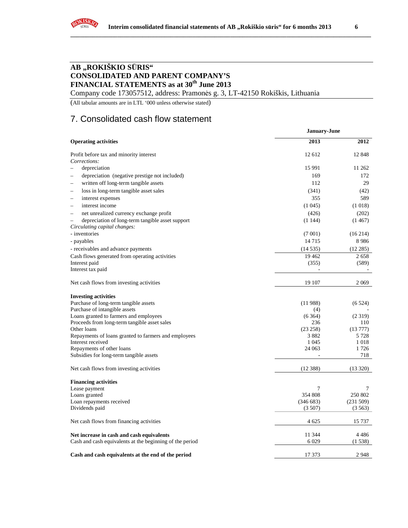

Company code 173057512, address: Pramonės g. 3, LT-42150 Rokiškis, Lithuania

(All tabular amounts are in LTL '000 unless otherwise stated)

## 7. Consolidated cash flow statement

|                                                                                                       | January-June    |                |  |  |
|-------------------------------------------------------------------------------------------------------|-----------------|----------------|--|--|
| <b>Operating activities</b>                                                                           | 2013            | 2012           |  |  |
| Profit before tax and minority interest                                                               | 12 612          | 12848          |  |  |
| Corrections:                                                                                          |                 |                |  |  |
| depreciation                                                                                          | 15 9 91         | 11 262         |  |  |
| depreciation (negative prestige not included)                                                         | 169             | 172            |  |  |
| written off long-term tangible assets<br>-                                                            | 112             | 29             |  |  |
| loss in long-term tangible asset sales<br>$\overline{\phantom{0}}$                                    | (341)           | (42)           |  |  |
| interest expenses                                                                                     | 355             | 589            |  |  |
| interest income<br>-                                                                                  | (1045)          | (1018)         |  |  |
| net unrealized currency exchange profit<br>$\overline{\phantom{a}}$                                   | (426)           | (202)          |  |  |
| depreciation of long-term tangible asset support                                                      | (1144)          | (1467)         |  |  |
| Circulating capital changes:                                                                          |                 |                |  |  |
| - inventories                                                                                         | (7001)          | (16214)        |  |  |
| - payables                                                                                            | 14715           | 8986           |  |  |
| - receivables and advance payments                                                                    | (14535)         | (12285)        |  |  |
| Cash flows generated from operating activities                                                        | 19 4 62         | 2658           |  |  |
| Interest paid                                                                                         | (355)           | (589)          |  |  |
| Interest tax paid                                                                                     |                 |                |  |  |
| Net cash flows from investing activities                                                              | 19 107          | 2 0 6 9        |  |  |
|                                                                                                       |                 |                |  |  |
| <b>Investing activities</b>                                                                           |                 |                |  |  |
| Purchase of long-term tangible assets                                                                 | (11988)         | (6524)         |  |  |
| Purchase of intangible assets                                                                         | (4)             |                |  |  |
| Loans granted to farmers and employees                                                                | (6364)          | (2319)         |  |  |
| Proceeds from long-term tangible asset sales<br>Other loans                                           | 236<br>(23 258) | 110<br>(13777) |  |  |
| Repayments of loans granted to farmers and employees                                                  | 3882            | 5 7 2 8        |  |  |
| Interest received                                                                                     | 1 0 4 5         | 1018           |  |  |
| Repayments of other loans                                                                             | 24 063          | 1726           |  |  |
| Subsidies for long-term tangible assets                                                               |                 | 718            |  |  |
| Net cash flows from investing activities                                                              | (12388)         | (13320)        |  |  |
|                                                                                                       |                 |                |  |  |
| <b>Financing activities</b>                                                                           |                 |                |  |  |
| Lease payment                                                                                         | 7               | 7              |  |  |
| Loans granted                                                                                         | 354 808         | 250 802        |  |  |
| Loan repayments received                                                                              | (346683)        | (231 509)      |  |  |
| Dividends paid                                                                                        | (3507)          | (3563)         |  |  |
| Net cash flows from financing activities                                                              | 4 625           | 15 737         |  |  |
|                                                                                                       | 11 344          | 4486           |  |  |
| Net increase in cash and cash equivalents<br>Cash and cash equivalents at the beginning of the period | 6 0 29          | (1538)         |  |  |
| Cash and cash equivalents at the end of the period                                                    | 17 373          | 2948           |  |  |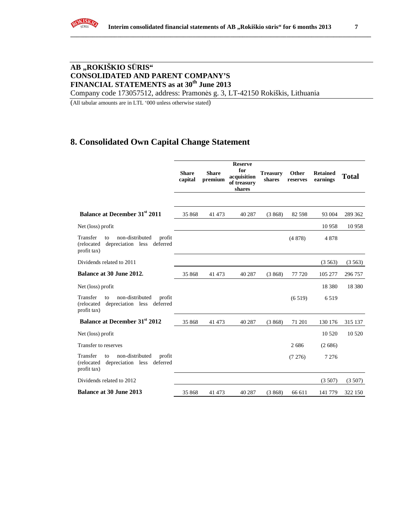

## **AB "ROKIŠKIO S**Ū**RIS" CONSOLIDATED AND PARENT COMPANY'S FINANCIAL STATEMENTS as at 30th June 2013**

Company code 173057512, address: Pramonės g. 3, LT-42150 Rokiškis, Lithuania

(All tabular amounts are in LTL '000 unless otherwise stated)

## **8. Consolidated Own Capital Change Statement**

|                                                                                                        | <b>Share</b><br>capital | <b>Share</b><br>premium | <b>Reserve</b><br>for<br>acquisition<br>of treasury<br>shares | <b>Treasury</b><br>shares | Other<br>reserves | <b>Retained</b><br>earnings | <b>Total</b> |
|--------------------------------------------------------------------------------------------------------|-------------------------|-------------------------|---------------------------------------------------------------|---------------------------|-------------------|-----------------------------|--------------|
|                                                                                                        |                         |                         |                                                               |                           |                   |                             |              |
| Balance at December 31 <sup>st</sup> 2011                                                              | 35 868                  | 41 473                  | 40 287                                                        | (3868)                    | 82 5 98           | 93 004                      | 289 362      |
| Net (loss) profit                                                                                      |                         |                         |                                                               |                           |                   | 10958                       | 10958        |
| Transfer<br>non-distributed<br>profit<br>to<br>depreciation less deferred<br>(relocated<br>profit tax) |                         |                         |                                                               |                           | (4878)            | 4878                        |              |
| Dividends related to 2011                                                                              |                         |                         |                                                               |                           |                   | (3563)                      | (3563)       |
| Balance at 30 June 2012.                                                                               | 35 868                  | 41 473                  | 40 287                                                        | (3868)                    | 77 720            | 105 277                     | 296 757      |
| Net (loss) profit                                                                                      |                         |                         |                                                               |                           |                   | 18 3 8 0                    | 18 3 8 0     |
| Transfer<br>non-distributed<br>profit<br>to<br>(relocated<br>depreciation less deferred<br>profit tax) |                         |                         |                                                               |                           | (6519)            | 6519                        |              |
| <b>Balance at December 31st 2012</b>                                                                   | 35 868                  | 41 473                  | 40 287                                                        | (3868)                    | 71 201            | 130 176                     | 315 137      |
| Net (loss) profit                                                                                      |                         |                         |                                                               |                           |                   | 10 5 20                     | 10 5 20      |
| Transfer to reserves                                                                                   |                         |                         |                                                               |                           | 2686              | (2686)                      |              |
| Transfer<br>non-distributed<br>profit<br>to<br>(relocated<br>depreciation less deferred<br>profit tax) |                         |                         |                                                               |                           | (7276)            | 7 2 7 6                     |              |
| Dividends related to 2012                                                                              |                         |                         |                                                               |                           |                   | (3507)                      | (3507)       |
| <b>Balance at 30 June 2013</b>                                                                         | 35 868                  | 41 473                  | 40 287                                                        | (3868)                    | 66 611            | 141 779                     | 322 150      |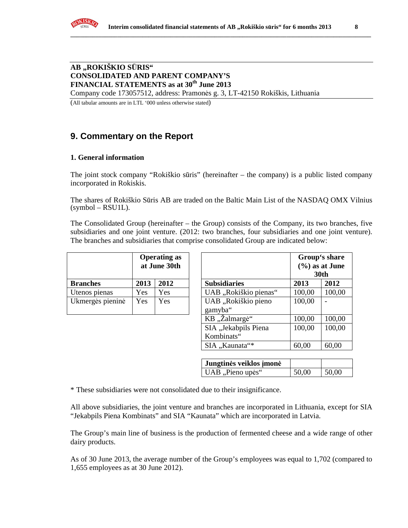## **AB "ROKIŠKIO S**Ū**RIS" CONSOLIDATED AND PARENT COMPANY'S FINANCIAL STATEMENTS as at 30th June 2013**

Company code 173057512, address: Pramonės g. 3, LT-42150 Rokiškis, Lithuania

(All tabular amounts are in LTL '000 unless otherwise stated)

# **9. Commentary on the Report**

## **1. General information**

The joint stock company "Rokiškio sūris" (hereinafter – the company) is a public listed company incorporated in Rokiskis.

The shares of Rokiškio Sūris AB are traded on the Baltic Main List of the NASDAQ OMX Vilnius  $(symbol - RSU1L)$ .

The Consolidated Group (hereinafter – the Group) consists of the Company, its two branches, five subsidiaries and one joint venture. (2012: two branches, four subsidiaries and one joint venture). The branches and subsidiaries that comprise consolidated Group are indicated below:

|                  | <b>Operating as</b><br>at June 30th |      |                      |
|------------------|-------------------------------------|------|----------------------|
| <b>Branches</b>  | 2013                                | 2012 | <b>Subsidiaries</b>  |
| Utenos pienas    | Yes                                 | Yes  | UAB "Rokiškio pienas |
| Ukmergės pieninė | Yes                                 | Yes  | UAB "Rokiškio pieno  |
|                  |                                     |      | gamyba"              |

| <b>Operating as</b><br>at June 30th          |                                  |        |  | Group's share<br>$(\% )$ as at June<br>30th |        |        |
|----------------------------------------------|----------------------------------|--------|--|---------------------------------------------|--------|--------|
| <b>Branches</b>                              | 2013                             | 2012   |  | <b>Subsidiaries</b>                         | 2013   | 2012   |
| Utenos pienas                                | Yes                              | Yes    |  | UAB "Rokiškio pienas"                       | 100,00 | 100,00 |
| Ukmergės pieninė                             | Yes                              | Yes    |  | UAB "Rokiškio pieno<br>gamyba"              | 100,00 |        |
|                                              |                                  |        |  | KB "Žalmargė"                               | 100,00 | 100,00 |
| SIA "Jekabpils Piena<br>100,00<br>Kombinats" |                                  | 100,00 |  |                                             |        |        |
|                                              | SIA "Kaunata"*<br>60,00<br>60,00 |        |  |                                             |        |        |

| Jungtinės veiklos įmonė |       |       |
|-------------------------|-------|-------|
| UAB "Pieno upės"        | 50,00 | 50,00 |

\* These subsidiaries were not consolidated due to their insignificance.

All above subsidiaries, the joint venture and branches are incorporated in Lithuania, except for SIA "Jekabpils Piena Kombinats" and SIA "Kaunata" which are incorporated in Latvia.

The Group's main line of business is the production of fermented cheese and a wide range of other dairy products.

As of 30 June 2013, the average number of the Group's employees was equal to 1,702 (compared to 1,655 employees as at 30 June 2012).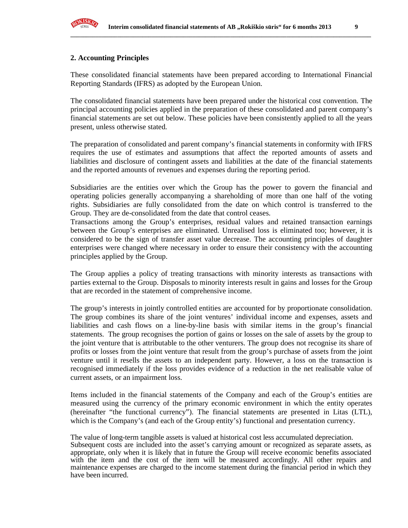

#### **2. Accounting Principles**

These consolidated financial statements have been prepared according to International Financial Reporting Standards (IFRS) as adopted by the European Union.

The consolidated financial statements have been prepared under the historical cost convention. The principal accounting policies applied in the preparation of these consolidated and parent company's financial statements are set out below. These policies have been consistently applied to all the years present, unless otherwise stated.

The preparation of consolidated and parent company's financial statements in conformity with IFRS requires the use of estimates and assumptions that affect the reported amounts of assets and liabilities and disclosure of contingent assets and liabilities at the date of the financial statements and the reported amounts of revenues and expenses during the reporting period.

Subsidiaries are the entities over which the Group has the power to govern the financial and operating policies generally accompanying a shareholding of more than one half of the voting rights. Subsidiaries are fully consolidated from the date on which control is transferred to the Group. They are de-consolidated from the date that control ceases.

Transactions among the Group's enterprises, residual values and retained transaction earnings between the Group's enterprises are eliminated. Unrealised loss is eliminated too; however, it is considered to be the sign of transfer asset value decrease. The accounting principles of daughter enterprises were changed where necessary in order to ensure their consistency with the accounting principles applied by the Group.

The Group applies a policy of treating transactions with minority interests as transactions with parties external to the Group. Disposals to minority interests result in gains and losses for the Group that are recorded in the statement of comprehensive income.

The group's interests in jointly controlled entities are accounted for by proportionate consolidation. The group combines its share of the joint ventures' individual income and expenses, assets and liabilities and cash flows on a line-by-line basis with similar items in the group's financial statements. The group recognises the portion of gains or losses on the sale of assets by the group to the joint venture that is attributable to the other venturers. The group does not recognise its share of profits or losses from the joint venture that result from the group's purchase of assets from the joint venture until it resells the assets to an independent party. However, a loss on the transaction is recognised immediately if the loss provides evidence of a reduction in the net realisable value of current assets, or an impairment loss.

Items included in the financial statements of the Company and each of the Group's entities are measured using the currency of the primary economic environment in which the entity operates (hereinafter "the functional currency"). The financial statements are presented in Litas (LTL), which is the Company's (and each of the Group entity's) functional and presentation currency.

The value of long-term tangible assets is valued at historical cost less accumulated depreciation. Subsequent costs are included into the asset's carrying amount or recognized as separate assets, as appropriate, only when it is likely that in future the Group will receive economic benefits associated with the item and the cost of the item will be measured accordingly. All other repairs and maintenance expenses are charged to the income statement during the financial period in which they have been incurred.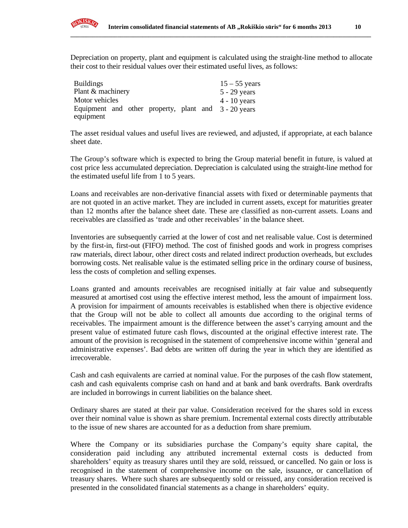

| <b>Buildings</b>                                     |  |  | $15 - 55$ years |
|------------------------------------------------------|--|--|-----------------|
| Plant & machinery                                    |  |  | $5 - 29$ years  |
| Motor vehicles                                       |  |  | $4 - 10$ years  |
| Equipment and other property, plant and 3 - 20 years |  |  |                 |
| equipment                                            |  |  |                 |

The asset residual values and useful lives are reviewed, and adjusted, if appropriate, at each balance sheet date.

The Group's software which is expected to bring the Group material benefit in future, is valued at cost price less accumulated depreciation. Depreciation is calculated using the straight-line method for the estimated useful life from 1 to 5 years.

Loans and receivables are non-derivative financial assets with fixed or determinable payments that are not quoted in an active market. They are included in current assets, except for maturities greater than 12 months after the balance sheet date. These are classified as non-current assets. Loans and receivables are classified as 'trade and other receivables' in the balance sheet.

Inventories are subsequently carried at the lower of cost and net realisable value. Cost is determined by the first-in, first-out (FIFO) method. The cost of finished goods and work in progress comprises raw materials, direct labour, other direct costs and related indirect production overheads, but excludes borrowing costs. Net realisable value is the estimated selling price in the ordinary course of business, less the costs of completion and selling expenses.

Loans granted and amounts receivables are recognised initially at fair value and subsequently measured at amortised cost using the effective interest method, less the amount of impairment loss. A provision for impairment of amounts receivables is established when there is objective evidence that the Group will not be able to collect all amounts due according to the original terms of receivables. The impairment amount is the difference between the asset's carrying amount and the present value of estimated future cash flows, discounted at the original effective interest rate. The amount of the provision is recognised in the statement of comprehensive income within 'general and administrative expenses'. Bad debts are written off during the year in which they are identified as irrecoverable.

Cash and cash equivalents are carried at nominal value. For the purposes of the cash flow statement, cash and cash equivalents comprise cash on hand and at bank and bank overdrafts. Bank overdrafts are included in borrowings in current liabilities on the balance sheet.

Ordinary shares are stated at their par value. Consideration received for the shares sold in excess over their nominal value is shown as share premium. Incremental external costs directly attributable to the issue of new shares are accounted for as a deduction from share premium.

Where the Company or its subsidiaries purchase the Company's equity share capital, the consideration paid including any attributed incremental external costs is deducted from shareholders' equity as treasury shares until they are sold, reissued, or cancelled. No gain or loss is recognised in the statement of comprehensive income on the sale, issuance, or cancellation of treasury shares. Where such shares are subsequently sold or reissued, any consideration received is presented in the consolidated financial statements as a change in shareholders' equity.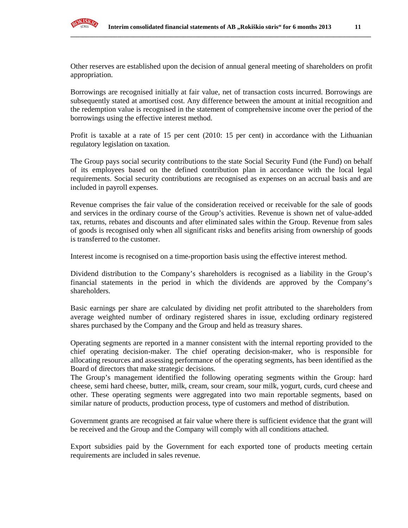

Other reserves are established upon the decision of annual general meeting of shareholders on profit appropriation.

Borrowings are recognised initially at fair value, net of transaction costs incurred. Borrowings are subsequently stated at amortised cost. Any difference between the amount at initial recognition and the redemption value is recognised in the statement of comprehensive income over the period of the borrowings using the effective interest method.

Profit is taxable at a rate of 15 per cent (2010: 15 per cent) in accordance with the Lithuanian regulatory legislation on taxation.

The Group pays social security contributions to the state Social Security Fund (the Fund) on behalf of its employees based on the defined contribution plan in accordance with the local legal requirements. Social security contributions are recognised as expenses on an accrual basis and are included in payroll expenses.

Revenue comprises the fair value of the consideration received or receivable for the sale of goods and services in the ordinary course of the Group's activities. Revenue is shown net of value-added tax, returns, rebates and discounts and after eliminated sales within the Group. Revenue from sales of goods is recognised only when all significant risks and benefits arising from ownership of goods is transferred to the customer.

Interest income is recognised on a time-proportion basis using the effective interest method.

Dividend distribution to the Company's shareholders is recognised as a liability in the Group's financial statements in the period in which the dividends are approved by the Company's shareholders.

Basic earnings per share are calculated by dividing net profit attributed to the shareholders from average weighted number of ordinary registered shares in issue, excluding ordinary registered shares purchased by the Company and the Group and held as treasury shares.

Operating segments are reported in a manner consistent with the internal reporting provided to the chief operating decision-maker. The chief operating decision-maker, who is responsible for allocating resources and assessing performance of the operating segments, has been identified as the Board of directors that make strategic decisions.

The Group's management identified the following operating segments within the Group: hard cheese, semi hard cheese, butter, milk, cream, sour cream, sour milk, yogurt, curds, curd cheese and other. These operating segments were aggregated into two main reportable segments, based on similar nature of products, production process, type of customers and method of distribution.

Government grants are recognised at fair value where there is sufficient evidence that the grant will be received and the Group and the Company will comply with all conditions attached.

Export subsidies paid by the Government for each exported tone of products meeting certain requirements are included in sales revenue.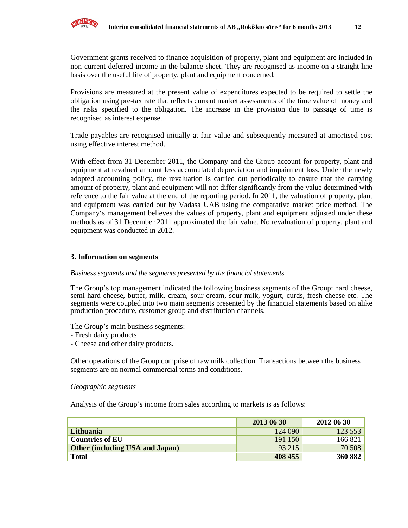

Government grants received to finance acquisition of property, plant and equipment are included in non-current deferred income in the balance sheet. They are recognised as income on a straight-line basis over the useful life of property, plant and equipment concerned.

Provisions are measured at the present value of expenditures expected to be required to settle the obligation using pre-tax rate that reflects current market assessments of the time value of money and the risks specified to the obligation. The increase in the provision due to passage of time is recognised as interest expense.

Trade payables are recognised initially at fair value and subsequently measured at amortised cost using effective interest method.

With effect from 31 December 2011, the Company and the Group account for property, plant and equipment at revalued amount less accumulated depreciation and impairment loss. Under the newly adopted accounting policy, the revaluation is carried out periodically to ensure that the carrying amount of property, plant and equipment will not differ significantly from the value determined with reference to the fair value at the end of the reporting period. In 2011, the valuation of property, plant and equipment was carried out by Vadasa UAB using the comparative market price method. The Company's management believes the values of property, plant and equipment adjusted under these methods as of 31 December 2011 approximated the fair value. No revaluation of property, plant and equipment was conducted in 2012.

#### **3. Information on segments**

#### *Business segments and the segments presented by the financial statements*

The Group's top management indicated the following business segments of the Group: hard cheese, semi hard cheese, butter, milk, cream, sour cream, sour milk, yogurt, curds, fresh cheese etc. The segments were coupled into two main segments presented by the financial statements based on alike production procedure, customer group and distribution channels.

The Group's main business segments:

- Fresh dairy products
- Cheese and other dairy products.

Other operations of the Group comprise of raw milk collection. Transactions between the business segments are on normal commercial terms and conditions.

#### *Geographic segments*

Analysis of the Group's income from sales according to markets is as follows:

|                                        | 2013 06 30 | 2012 06 30 |
|----------------------------------------|------------|------------|
| Lithuania                              | 124 090    | 123553     |
| <b>Countries of EU</b>                 | 191 150    | 166821     |
| <b>Other (including USA and Japan)</b> | 93 215     | 70 508     |
| <b>Total</b>                           | 408 455    | 360 882    |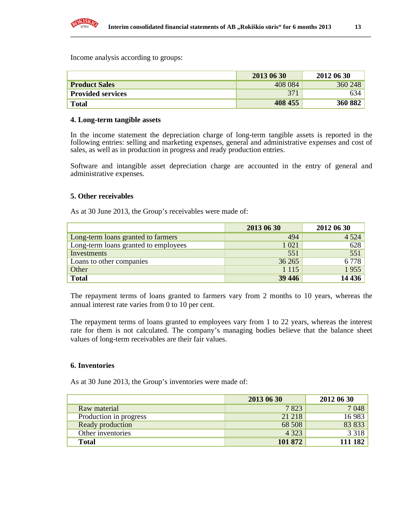

Income analysis according to groups:

|                          | 2013 06 30 | 2012 06 30 |
|--------------------------|------------|------------|
| <b>Product Sales</b>     | 408 084    | 360 248    |
| <b>Provided services</b> | 371        | 634        |
| <b>Total</b>             | 408 455    | 360 882    |

#### **4. Long-term tangible assets**

In the income statement the depreciation charge of long-term tangible assets is reported in the following entries: selling and marketing expenses, general and administrative expenses and cost of sales, as well as in production in progress and ready production entries.

Software and intangible asset depreciation charge are accounted in the entry of general and administrative expenses.

## **5. Other receivables**

As at 30 June 2013, the Group's receivables were made of:

|                                      | 2013 06 30 | 2012 06 30 |
|--------------------------------------|------------|------------|
| Long-term loans granted to farmers   | 494        | 4 5 2 4    |
| Long-term loans granted to employees | 1 0 2 1    | 628        |
| Investments                          | 551        | 551        |
| Loans to other companies             | 36 265     | 6778       |
| Other                                | 1 1 1 5    | 1955       |
| <b>Total</b>                         | 39 44 6    | 14 4 36    |

The repayment terms of loans granted to farmers vary from 2 months to 10 years, whereas the annual interest rate varies from 0 to 10 per cent.

The repayment terms of loans granted to employees vary from 1 to 22 years, whereas the interest rate for them is not calculated. The company's managing bodies believe that the balance sheet values of long-term receivables are their fair values.

#### **6. Inventories**

As at 30 June 2013, the Group's inventories were made of:

|                        | 2013 06 30 | 2012 06 30 |
|------------------------|------------|------------|
| Raw material           | 7823       | 7 0 48     |
| Production in progress | 21 218     | 16 983     |
| Ready production       | 68 508     | 83 833     |
| Other inventories      | 4 3 2 3    | 3 3 1 8    |
| <b>Total</b>           | 101 872    | 111 182    |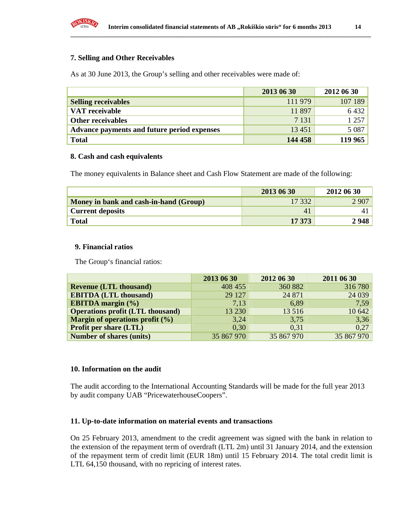

#### **7. Selling and Other Receivables**

As at 30 June 2013, the Group's selling and other receivables were made of:

|                                             | 2013 06 30 | 2012 06 30 |
|---------------------------------------------|------------|------------|
| <b>Selling receivables</b>                  | 111979     | 107 189    |
| VAT receivable                              | 11 897     | 6 4 3 2    |
| <b>Other receivables</b>                    | 7 1 3 1    | 1 257      |
| Advance payments and future period expenses | 13 4 51    | 5 0 8 7    |
| <b>Total</b>                                | 144 458    | 119 965    |

#### **8. Cash and cash equivalents**

The money equivalents in Balance sheet and Cash Flow Statement are made of the following:

|                                        | 2013 06 30     | 2012 06 30 |
|----------------------------------------|----------------|------------|
| Money in bank and cash-in-hand (Group) | 17 332         | 2 9 0 7    |
| <b>Current deposits</b>                | $\overline{4}$ |            |
| <b>Total</b>                           | 17 373         | 2948       |

#### **9. Financial ratios**

The Group's financial ratios:

|                                         | 2013 06 30 | 2012 06 30 | 2011 06 30 |
|-----------------------------------------|------------|------------|------------|
| <b>Revenue (LTL thousand)</b>           | 408 455    | 360 882    | 316780     |
| <b>EBITDA (LTL thousand)</b>            | 29 127     | 24 871     | 24 039     |
| <b>EBITDA</b> margin $(\% )$            | 7,13       | 6,89       | 7.59       |
| <b>Operations profit (LTL thousand)</b> | 13 230     | 13 516     | 10 642     |
| Margin of operations profit $(\% )$     | 3,24       | 3,75       | 3,36       |
| <b>Profit per share (LTL)</b>           | 0,30       | 0,31       | 0,27       |
| <b>Number of shares (units)</b>         | 35 867 970 | 35 867 970 | 35 867 970 |

#### **10. Information on the audit**

The audit according to the International Accounting Standards will be made for the full year 2013 by audit company UAB "PricewaterhouseCoopers".

#### **11. Up-to-date information on material events and transactions**

On 25 February 2013, amendment to the credit agreement was signed with the bank in relation to the extension of the repayment term of overdraft (LTL 2m) until 31 January 2014, and the extension of the repayment term of credit limit (EUR 18m) until 15 February 2014. The total credit limit is LTL 64,150 thousand, with no repricing of interest rates.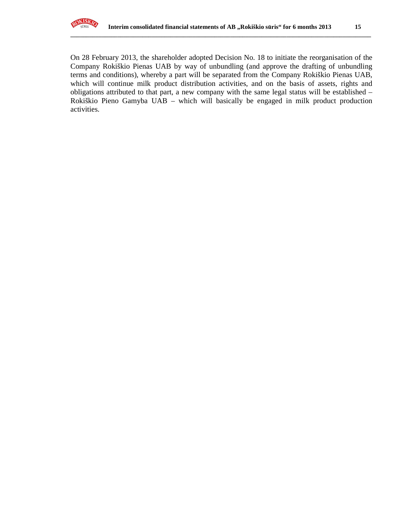

On 28 February 2013, the shareholder adopted Decision No. 18 to initiate the reorganisation of the Company Rokiškio Pienas UAB by way of unbundling (and approve the drafting of unbundling terms and conditions), whereby a part will be separated from the Company Rokiškio Pienas UAB, which will continue milk product distribution activities, and on the basis of assets, rights and obligations attributed to that part, a new company with the same legal status will be established – Rokiškio Pieno Gamyba UAB – which will basically be engaged in milk product production activities.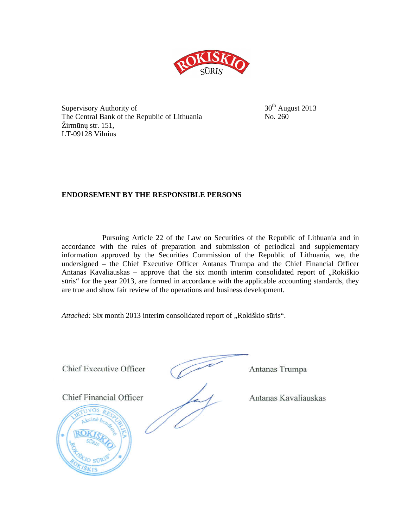

Supervisory Authority of  $30<sup>th</sup>$  August 2013 The Central Bank of the Republic of Lithuania No. 260 Žirmūnų str. 151, LT-09128 Vilnius

## **ENDORSEMENT BY THE RESPONSIBLE PERSONS**

Pursuing Article 22 of the Law on Securities of the Republic of Lithuania and in accordance with the rules of preparation and submission of periodical and supplementary information approved by the Securities Commission of the Republic of Lithuania, we, the undersigned – the Chief Executive Officer Antanas Trumpa and the Chief Financial Officer Antanas Kavaliauskas – approve that the six month interim consolidated report of  $\alpha$ Rokiškio sūris" for the year 2013, are formed in accordance with the applicable accounting standards, they are true and show fair review of the operations and business development.

Attached: Six month 2013 interim consolidated report of "Rokiškio sūris".

Chief Executive Officer (Antanas Trumpa Chief Financial Officer Antanas Kavaliauskas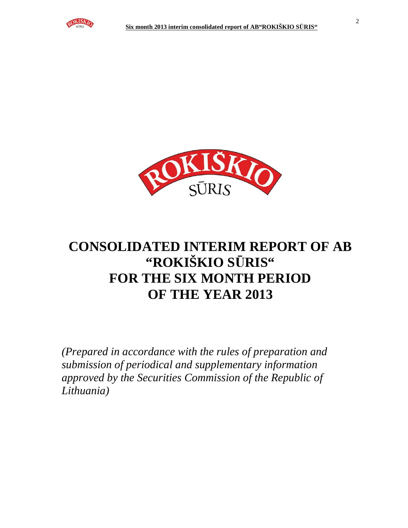



# **CONSOLIDATED INTERIM REPORT OF AB "ROKIŠKIO S**Ū**RIS" FOR THE SIX MONTH PERIOD OF THE YEAR 2013**

*(Prepared in accordance with the rules of preparation and submission of periodical and supplementary information approved by the Securities Commission of the Republic of Lithuania)*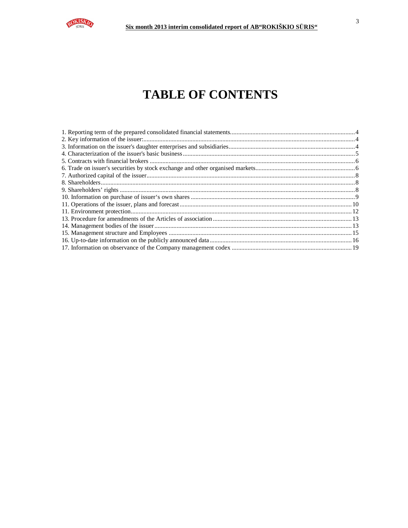

# **TABLE OF CONTENTS**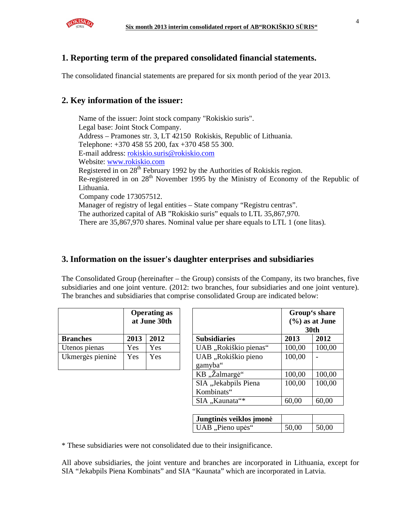

## **1. Reporting term of the prepared consolidated financial statements.**

The consolidated financial statements are prepared for six month period of the year 2013.

## **2. Key information of the issuer:**

Name of the issuer: Joint stock company "Rokiskio suris". Legal base: Joint Stock Company. Address – Pramones str. 3, LT 42150 Rokiskis, Republic of Lithuania. Telephone: +370 458 55 200, fax +370 458 55 300. E-mail address: rokiskio.suris@rokiskio.com Website: www.rokiskio.com Registered in on  $28<sup>th</sup>$  February 1992 by the Authorities of Rokiskis region. Re-registered in on 28<sup>th</sup> November 1995 by the Ministry of Economy of the Republic of Lithuania. Company code 173057512. Manager of registry of legal entities – State company "Registru centras". The authorized capital of AB "Rokiskio suris" equals to LTL 35,867,970. There are 35,867,970 shares. Nominal value per share equals to LTL 1 (one litas).

## **3. Information on the issuer's daughter enterprises and subsidiaries**

The Consolidated Group (hereinafter – the Group) consists of the Company, its two branches, five subsidiaries and one joint venture. (2012: two branches, four subsidiaries and one joint venture). The branches and subsidiaries that comprise consolidated Group are indicated below:

|                  | <b>Operating as</b><br>at June 30th |      |                      |
|------------------|-------------------------------------|------|----------------------|
| <b>Branches</b>  | 2013                                | 2012 | <b>Subsidiaries</b>  |
| Utenos pienas    | Yes                                 | Yes  | UAB "Rokiškio pienas |
| Ukmergės pieninė | Yes                                 | Yes  | UAB "Rokiškio pieno  |
|                  |                                     |      | gamyba"              |

|                  |      | <b>Operating as</b><br>at June 30th |                                    | Group's share<br>$(\%)$ as at June<br><b>30th</b> |        |  |
|------------------|------|-------------------------------------|------------------------------------|---------------------------------------------------|--------|--|
| <b>Branches</b>  | 2013 | 2012                                | <b>Subsidiaries</b>                | 2013                                              | 2012   |  |
| Utenos pienas    | Yes  | Yes                                 | UAB "Rokiškio pienas"              | 100,00                                            | 100,00 |  |
| Ukmergės pieninė | Yes  | Yes                                 | UAB "Rokiškio pieno<br>gamyba"     | 100,00                                            |        |  |
|                  |      |                                     | KB "Žalmargė"                      | 100,00                                            | 100,00 |  |
|                  |      |                                     | SIA "Jekabpils Piena<br>Kombinats" | 100,00                                            | 100,00 |  |
|                  |      |                                     | SIA "Kaunata"*                     | 60,00                                             | 60,00  |  |

| Jungtinės veiklos įmonė |       |       |
|-------------------------|-------|-------|
| UAB "Pieno upės"        | 50,00 | 50,00 |

\* These subsidiaries were not consolidated due to their insignificance.

All above subsidiaries, the joint venture and branches are incorporated in Lithuania, except for SIA "Jekabpils Piena Kombinats" and SIA "Kaunata" which are incorporated in Latvia.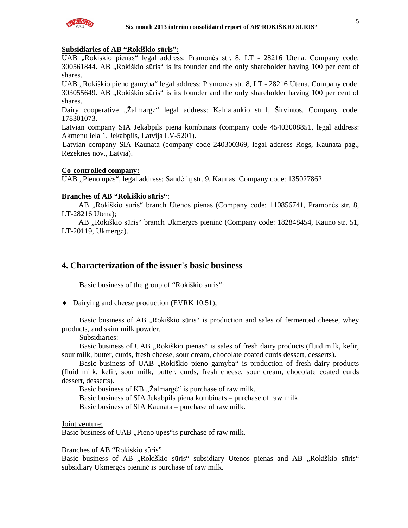

## **Subsidiaries of AB "Rokiškio s**ū**ris":**

UAB "Rokiskio pienas" legal address: Pramonės str. 8, LT - 28216 Utena. Company code: 300561844. AB "Rokiškio sūris" is its founder and the only shareholder having 100 per cent of shares.

UAB "Rokiškio pieno gamyba" legal address: Pramonės str. 8, LT - 28216 Utena. Company code: 303055649. AB "Rokiškio sūris" is its founder and the only shareholder having 100 per cent of shares.

Dairy cooperative "Žalmargė" legal address: Kalnalaukio str.1, Širvintos. Company code: 178301073.

Latvian company SIA Jekabpils piena kombinats (company code 45402008851, legal address: Akmenu iela 1, Jekabpils, Latvija LV-5201).

Latvian company SIA Kaunata (company code 240300369, legal address Rogs, Kaunata pag., Rezeknes nov., Latvia).

#### **Co-controlled company:**

UAB "Pieno upės", legal address: Sandėlių str. 9, Kaunas. Company code: 135027862.

#### **Branches of AB "Rokiškio s**ū**ris"**:

AB "Rokiškio sūris" branch Utenos pienas (Company code: 110856741, Pramonės str. 8, LT-28216 Utena);

AB "Rokiškio sūris" branch Ukmergės pieninė (Company code: 182848454, Kauno str. 51, LT-20119, Ukmergė).

## **4. Characterization of the issuer's basic business**

Basic business of the group of "Rokiškio sūris":

♦ Dairying and cheese production (EVRK 10.51);

Basic business of AB "Rokiškio sūris" is production and sales of fermented cheese, whey products, and skim milk powder.

Subsidiaries:

Basic business of UAB "Rokiškio pienas" is sales of fresh dairy products (fluid milk, kefir, sour milk, butter, curds, fresh cheese, sour cream, chocolate coated curds dessert, desserts).

Basic business of UAB "Rokiškio pieno gamyba" is production of fresh dairy products (fluid milk, kefir, sour milk, butter, curds, fresh cheese, sour cream, chocolate coated curds dessert, desserts).

Basic business of KB "Zalmargė" is purchase of raw milk.

Basic business of SIA Jekabpils piena kombinats – purchase of raw milk.

Basic business of SIA Kaunata – purchase of raw milk.

Joint venture:

Basic business of UAB "Pieno upės"is purchase of raw milk.

#### Branches of AB "Rokiskio sûris"

Basic business of AB "Rokiškio sūris" subsidiary Utenos pienas and AB "Rokiškio sūris" subsidiary Ukmergės pieninė is purchase of raw milk.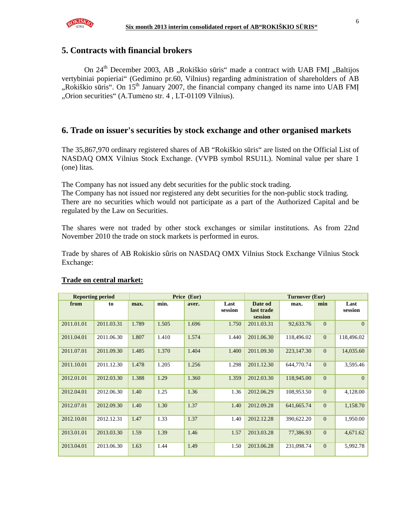

## **5. Contracts with financial brokers**

On 24<sup>th</sup> December 2003, AB "Rokiškio sūris" made a contract with UAB FMI "Baltijos vertybiniai popieriai" (Gedimino pr.60, Vilnius) regarding administration of shareholders of AB ", Rokiškio sūris". On  $15<sup>th</sup>$  January 2007, the financial company changed its name into UAB FMI "Orion securities" (A.Tumėno str. 4, LT-01109 Vilnius).

## **6. Trade on issuer's securities by stock exchange and other organised markets**

The 35,867,970 ordinary registered shares of AB "Rokiškio sūris" are listed on the Official List of NASDAQ OMX Vilnius Stock Exchange. (VVPB symbol RSU1L). Nominal value per share 1 (one) litas.

The Company has not issued any debt securities for the public stock trading.

The Company has not issued nor registered any debt securities for the non-public stock trading. There are no securities which would not participate as a part of the Authorized Capital and be regulated by the Law on Securities.

The shares were not traded by other stock exchanges or similar institutions. As from 22nd November 2010 the trade on stock markets is performed in euros.

Trade by shares of AB Rokiskio sûris on NASDAQ OMX Vilnius Stock Exchange Vilnius Stock Exchange:

| <b>Reporting period</b> |            |       |       | Price (Eur) |                 | Turnover (Eur)                   |            |                |                 |
|-------------------------|------------|-------|-------|-------------|-----------------|----------------------------------|------------|----------------|-----------------|
| from                    | to         | max.  | min.  | aver.       | Last<br>session | Date od<br>last trade<br>session | max.       | min            | Last<br>session |
| 2011.01.01              | 2011.03.31 | 1.789 | 1.505 | 1.696       | 1.750           | 2011.03.31                       | 92,633.76  | $\Omega$       | $\Omega$        |
| 2011.04.01              | 2011.06.30 | 1.807 | 1.410 | 1.574       | 1.440           | 2011.06.30                       | 118,496.02 | $\overline{0}$ | 118,496.02      |
| 2011.07.01              | 2011.09.30 | 1.485 | 1.370 | 1.404       | 1.400           | 2011.09.30                       | 223,147.30 | $\overline{0}$ | 14,035.60       |
| 2011.10.01              | 2011.12.30 | 1.478 | 1.205 | 1.256       | 1.298           | 2011.12.30                       | 644,770.74 | $\Omega$       | 3,595.46        |
| 2012.01.01              | 2012.03.30 | 1.388 | 1.29  | 1.360       | 1.359           | 2012.03.30                       | 118,945.00 | $\Omega$       | $\Omega$        |
| 2012.04.01              | 2012.06.30 | 1.40  | 1.25  | 1.36        | 1.36            | 2012.06.29                       | 108,953.50 | $\Omega$       | 4,128.00        |
| 2012.07.01              | 2012.09.30 | 1.40  | 1.30  | 1.37        | 1.40            | 2012.09.28                       | 641,665.74 | $\Omega$       | 1,158.70        |
| 2012.10.01              | 2012.12.31 | 1.47  | 1.33  | 1.37        | 1.40            | 2012.12.28                       | 390,622.20 | $\Omega$       | 1,950.00        |
| 2013.01.01              | 2013.03.30 | 1.59  | 1.39  | 1.46        | 1.57            | 2013.03.28                       | 77,386.93  | $\overline{0}$ | 4,671.62        |
| 2013.04.01              | 2013.06.30 | 1.63  | 1.44  | 1.49        | 1.50            | 2013.06.28                       | 231,098.74 | $\Omega$       | 5,992.78        |

#### **Trade on central market:**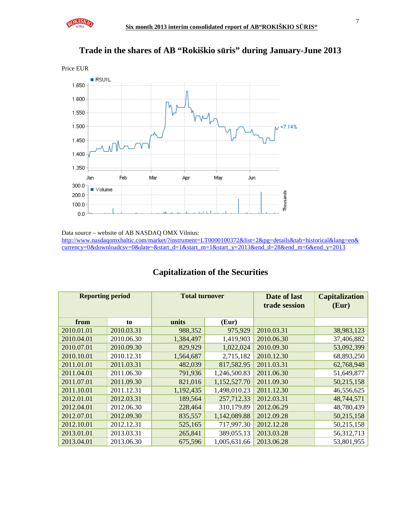





Data source – website of AB NASDAQ OMX Vilnius:

http://www.nasdaqomxbaltic.com/market/?instrument=LT0000100372&list=2&pg=details&tab=historical&lang=en& currency=0&downloadcsv=0&date=&start\_d=1&start\_m=1&start\_y=2013&end\_d=28&end\_m=6&end\_y=2013

| <b>Reporting period</b> |            | <b>Total turnover</b> |              | Date of last<br>trade session | <b>Capitalization</b><br>(Eur) |
|-------------------------|------------|-----------------------|--------------|-------------------------------|--------------------------------|
| from                    | to         | units                 | (Eur)        |                               |                                |
| 2010.01.01              | 2010.03.31 | 988,352               | 975,929      | 2010.03.31                    | 38,983,123                     |
| 2010.04.01              | 2010.06.30 | 1,384,497             | 1,419,903    | 2010.06.30                    | 37,406,882                     |
| 2010.07.01              | 2010.09.30 | 829,929               | 1,022,024    | 2010.09.30                    | 53,092,399                     |
| 2010.10.01              | 2010.12.31 | 1,564,687             | 2,715,182    | 2010.12.30                    | 68,893,250                     |
| 2011.01.01              | 2011.03.31 | 482,039               | 817,582.95   | 2011.03.31                    | 62,768,948                     |
| 2011.04.01              | 2011.06.30 | 791,936               | 1,246,500.83 | 2011.06.30                    | 51,649,877                     |
| 2011.07.01              | 2011.09.30 | 821,016               | 1,152,527.70 | 2011.09.30                    | 50,215,158                     |
| 2011.10.01              | 2011.12.31 | 1,192,435             | 1,498,010.23 | 2011.12.30                    | 46,556,625                     |
| 2012.01.01              | 2012.03.31 | 189,564               | 257,712.33   | 2012.03.31                    | 48,744,571                     |
| 2012.04.01              | 2012.06.30 | 228,464               | 310,179.89   | 2012.06.29                    | 48,780,439                     |
| 2012.07.01              | 2012.09.30 | 835,557               | 1,142,089.88 | 2012.09.28                    | 50,215,158                     |
| 2012.10.01              | 2012.12.31 | 525,165               | 717,997.30   | 2012.12.28                    | 50,215,158                     |
| 2013.01.01              | 2013.03.31 | 265,841               | 389,055.13   | 2013.03.28                    | 56,312,713                     |
| 2013.04.01              | 2013.06.30 | 675,596               | 1,005,631.66 | 2013.06.28                    | 53,801,955                     |

## **Capitalization of the Securities**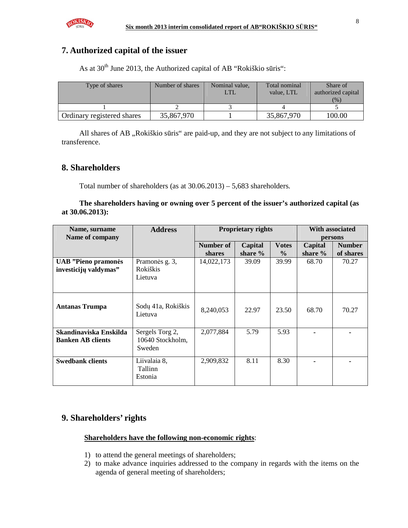

## **7. Authorized capital of the issuer**

As at  $30<sup>th</sup>$  June 2013, the Authorized capital of AB "Rokiškio sūris":

| Type of shares             | Number of shares | Nominal value, | Total nominal<br>value. LTL | Share of<br>authorized capital<br>(%) |
|----------------------------|------------------|----------------|-----------------------------|---------------------------------------|
|                            |                  |                |                             |                                       |
| Ordinary registered shares | 35,867,970       |                | 35,867,970                  | 100.00                                |

All shares of AB "Rokiškio sūris" are paid-up, and they are not subject to any limitations of transference.

## **8. Shareholders**

Total number of shareholders (as at 30.06.2013) – 5,683 shareholders.

**The shareholders having or owning over 5 percent of the issuer's authorized capital (as at 30.06.2013):** 

| Name, surname<br>Name of company                    | <b>Address</b>                                |                            | With associated<br><b>Proprietary rights</b><br>persons |                               |                      |                            |
|-----------------------------------------------------|-----------------------------------------------|----------------------------|---------------------------------------------------------|-------------------------------|----------------------|----------------------------|
|                                                     |                                               | Number of<br><b>shares</b> | Capital<br>share %                                      | <b>Votes</b><br>$\frac{6}{9}$ | Capital<br>share $%$ | <b>Number</b><br>of shares |
| <b>UAB</b> "Pieno pramonės<br>investicijų valdymas" | Pramonės g. 3,<br><b>Rokiškis</b><br>Lietuva  | 14,022,173                 | 39.09                                                   | 39.99                         | 68.70                | 70.27                      |
| <b>Antanas Trumpa</b>                               | Sodų 41a, Rokiškis<br>Lietuva                 | 8,240,053                  | 22.97                                                   | 23.50                         | 68.70                | 70.27                      |
| Skandinaviska Enskilda<br><b>Banken AB clients</b>  | Sergels Torg 2,<br>10640 Stockholm,<br>Sweden | 2,077,884                  | 5.79                                                    | 5.93                          |                      |                            |
| <b>Swedbank clients</b>                             | Liivalaia 8,<br>Tallinn<br>Estonia            | 2,909,832                  | 8.11                                                    | 8.30                          |                      |                            |

## **9. Shareholders' rights**

## **Shareholders have the following non-economic rights**:

- 1) to attend the general meetings of shareholders;
- 2) to make advance inquiries addressed to the company in regards with the items on the agenda of general meeting of shareholders;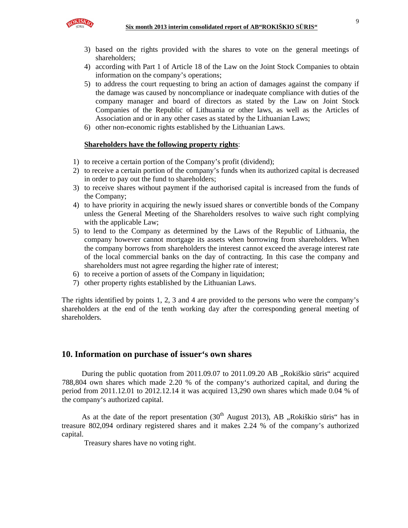

- 3) based on the rights provided with the shares to vote on the general meetings of shareholders;
- 4) according with Part 1 of Article 18 of the Law on the Joint Stock Companies to obtain information on the company's operations;
- 5) to address the court requesting to bring an action of damages against the company if the damage was caused by noncompliance or inadequate compliance with duties of the company manager and board of directors as stated by the Law on Joint Stock Companies of the Republic of Lithuania or other laws, as well as the Articles of Association and or in any other cases as stated by the Lithuanian Laws;
- 6) other non-economic rights established by the Lithuanian Laws.

## **Shareholders have the following property rights**:

- 1) to receive a certain portion of the Company's profit (dividend);
- 2) to receive a certain portion of the company's funds when its authorized capital is decreased in order to pay out the fund to shareholders;
- 3) to receive shares without payment if the authorised capital is increased from the funds of the Company;
- 4) to have priority in acquiring the newly issued shares or convertible bonds of the Company unless the General Meeting of the Shareholders resolves to waive such right complying with the applicable Law;
- 5) to lend to the Company as determined by the Laws of the Republic of Lithuania, the company however cannot mortgage its assets when borrowing from shareholders. When the company borrows from shareholders the interest cannot exceed the average interest rate of the local commercial banks on the day of contracting. In this case the company and shareholders must not agree regarding the higher rate of interest;
- 6) to receive a portion of assets of the Company in liquidation;
- 7) other property rights established by the Lithuanian Laws.

The rights identified by points 1, 2, 3 and 4 are provided to the persons who were the company's shareholders at the end of the tenth working day after the corresponding general meeting of shareholders.

## **10. Information on purchase of issuer's own shares**

During the public quotation from 2011.09.07 to 2011.09.20 AB "Rokiškio sūris" acquired 788,804 own shares which made 2.20 % of the company's authorized capital, and during the period from 2011.12.01 to 2012.12.14 it was acquired 13,290 own shares which made 0.04 % of the company's authorized capital.

As at the date of the report presentation  $(30<sup>th</sup>$  August 2013), AB "Rokiškio sūris" has in treasure 802,094 ordinary registered shares and it makes 2.24 % of the company's authorized capital.

Treasury shares have no voting right.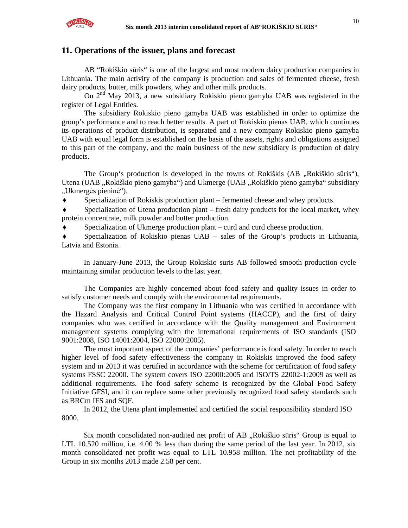

## **11. Operations of the issuer, plans and forecast**

AB "Rokiškio sūris" is one of the largest and most modern dairy production companies in Lithuania. The main activity of the company is production and sales of fermented cheese, fresh dairy products, butter, milk powders, whey and other milk products.

On  $2^{nd}$  May 2013, a new subsidiary Rokiskio pieno gamyba UAB was registered in the register of Legal Entities.

The subsidiary Rokiskio pieno gamyba UAB was established in order to optimize the group's performance and to reach better results. A part of Rokiskio pienas UAB, which continues its operations of product distribution, is separated and a new company Rokiskio pieno gamyba UAB with equal legal form is established on the basis of the assets, rights and obligations assigned to this part of the company, and the main business of the new subsidiary is production of dairy products.

The Group's production is developed in the towns of Rokiškis (AB ., Rokiškio sūris"), Utena (UAB "Rokiškio pieno gamyba") and Ukmerge (UAB "Rokiškio pieno gamyba" subsidiary "Ukmergės pieninė").

Specialization of Rokiskis production plant – fermented cheese and whey products.

Specialization of Utena production plant – fresh dairy products for the local market, whey protein concentrate, milk powder and butter production.

Specialization of Ukmerge production plant – curd and curd cheese production.

Specialization of Rokiskio pienas  $UAB -$  sales of the Group's products in Lithuania, Latvia and Estonia.

In January-June 2013, the Group Rokiskio suris AB followed smooth production cycle maintaining similar production levels to the last year.

The Companies are highly concerned about food safety and quality issues in order to satisfy customer needs and comply with the environmental requirements.

The Company was the first company in Lithuania who was certified in accordance with the Hazard Analysis and Critical Control Point systems (HACCP), and the first of dairy companies who was certified in accordance with the Quality management and Environment management systems complying with the international requirements of ISO standards (ISO 9001:2008, ISO 14001:2004, ISO 22000:2005).

The most important aspect of the companies' performance is food safety. In order to reach higher level of food safety effectiveness the company in Rokiskis improved the food safety system and in 2013 it was certified in accordance with the scheme for certification of food safety systems FSSC 22000. The system covers ISO 22000:2005 and ISO/TS 22002-1:2009 as well as additional requirements. The food safety scheme is recognized by the Global Food Safety Initiative GFSI, and it can replace some other previously recognized food safety standards such as BRCm IFS and SQF.

In 2012, the Utena plant implemented and certified the social responsibility standard ISO 8000.

Six month consolidated non-audited net profit of AB "Rokiškio sūris" Group is equal to LTL 10.520 million, i.e. 4.00 % less than during the same period of the last year. In 2012, six month consolidated net profit was equal to LTL 10.958 million. The net profitability of the Group in six months 2013 made 2.58 per cent.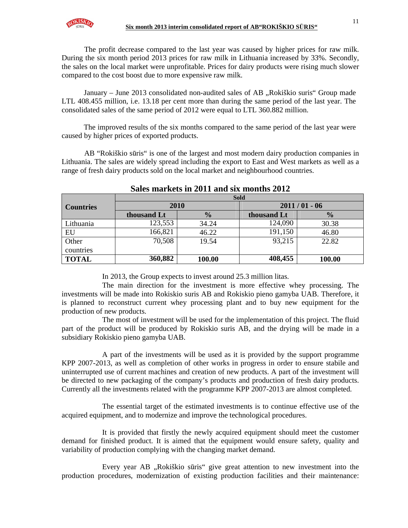The profit decrease compared to the last year was caused by higher prices for raw milk. During the six month period 2013 prices for raw milk in Lithuania increased by 33%. Secondly, the sales on the local market were unprofitable. Prices for dairy products were rising much slower compared to the cost boost due to more expensive raw milk.

January – June 2013 consolidated non-audited sales of AB "Rokiškio suris" Group made LTL 408.455 million, i.e. 13.18 per cent more than during the same period of the last year. The consolidated sales of the same period of 2012 were equal to LTL 360.882 million.

The improved results of the six months compared to the same period of the last year were caused by higher prices of exported products.

AB "Rokiškio sūris" is one of the largest and most modern dairy production companies in Lithuania. The sales are widely spread including the export to East and West markets as well as a range of fresh dairy products sold on the local market and neighbourhood countries.

|                  | <b>Sold</b> |               |                |               |  |  |  |  |
|------------------|-------------|---------------|----------------|---------------|--|--|--|--|
| <b>Countries</b> | 2010        |               | $2011/01 - 06$ |               |  |  |  |  |
|                  | thousand Lt | $\frac{0}{0}$ | thousand Lt    | $\frac{0}{0}$ |  |  |  |  |
| Lithuania        | 123,553     | 34.24         | 124,090        | 30.38         |  |  |  |  |
| EU               | 166,821     | 46.22         | 191,150        | 46.80         |  |  |  |  |
| Other            | 70,508      | 19.54         | 93,215         | 22.82         |  |  |  |  |
| countries        |             |               |                |               |  |  |  |  |
| <b>TOTAL</b>     | 360,882     | 100.00        | 408,455        | 100.00        |  |  |  |  |

## **Sales markets in 2011 and six months 2012**

In 2013, the Group expects to invest around 25.3 million litas.

The main direction for the investment is more effective whey processing. The investments will be made into Rokiskio suris AB and Rokiskio pieno gamyba UAB. Therefore, it is planned to reconstruct current whey processing plant and to buy new equipment for the production of new products.

The most of investment will be used for the implementation of this project. The fluid part of the product will be produced by Rokiskio suris AB, and the drying will be made in a subsidiary Rokiskio pieno gamyba UAB.

A part of the investments will be used as it is provided by the support programme KPP 2007-2013, as well as completion of other works in progress in order to ensure stabile and uninterrupted use of current machines and creation of new products. A part of the investment will be directed to new packaging of the company's products and production of fresh dairy products. Currently all the investments related with the programme KPP 2007-2013 are almost completed.

The essential target of the estimated investments is to continue effective use of the acquired equipment, and to modernize and improve the technological procedures.

It is provided that firstly the newly acquired equipment should meet the customer demand for finished product. It is aimed that the equipment would ensure safety, quality and variability of production complying with the changing market demand.

Every year AB "Rokiškio sūris" give great attention to new investment into the production procedures, modernization of existing production facilities and their maintenance: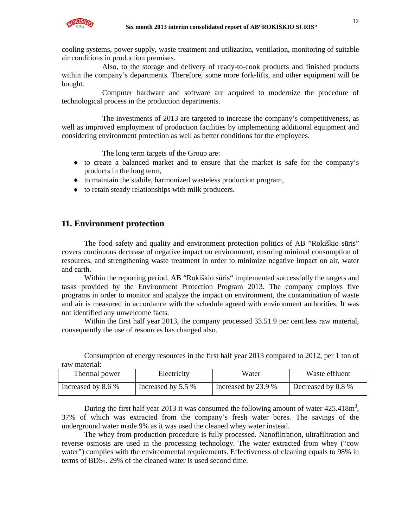

cooling systems, power supply, waste treatment and utilization, ventilation, monitoring of suitable air conditions in production premises.

Also, to the storage and delivery of ready-to-cook products and finished products within the company's departments. Therefore, some more fork-lifts, and other equipment will be bought.

Computer hardware and software are acquired to modernize the procedure of technological process in the production departments.

The investments of 2013 are targeted to increase the company's competitiveness, as well as improved employment of production facilities by implementing additional equipment and considering environment protection as well as better conditions for the employees.

The long term targets of the Group are:

- ♦ to create a balanced market and to ensure that the market is safe for the company's products in the long term,
- ♦ to maintain the stabile, harmonized wasteless production program,
- ♦ to retain steady relationships with milk producers.

## **11. Environment protection**

The food safety and quality and environment protection politics of AB "Rokiškio sūris" covers continuous decrease of negative impact on environment, ensuring minimal consumption of resources, and strengthening waste treatment in order to minimize negative impact on air, water and earth.

Within the reporting period, AB "Rokiškio sūris" implemented successfully the targets and tasks provided by the Environment Protection Program 2013. The company employs five programs in order to monitor and analyze the impact on environment, the contamination of waste and air is measured in accordance with the schedule agreed with environment authorities. It was not identified any unwelcome facts.

Within the first half year 2013, the company processed 33.51.9 per cent less raw material, consequently the use of resources has changed also.

| Taw mawitan.       |                    |                     |                    |  |
|--------------------|--------------------|---------------------|--------------------|--|
| Thermal power      | Electricity        | Water               | Waste effluent     |  |
| Increased by 8.6 % | Increased by 5.5 % | Increased by 23.9 % | Decreased by 0.8 % |  |

Consumption of energy resources in the first half year 2013 compared to 2012, per 1 ton of raw material:

During the first half year 2013 it was consumed the following amount of water  $425.418m^3$ , 37% of which was extracted from the company's fresh water bores. The savings of the underground water made 9% as it was used the cleaned whey water instead.

The whey from production procedure is fully processed. Nanofiltration, ultrafiltration and reverse osmosis are used in the processing technology. The water extracted from whey ("cow water") complies with the environmental requirements. Effectiveness of cleaning equals to 98% in terms of BDS7. 29% of the cleaned water is used second time.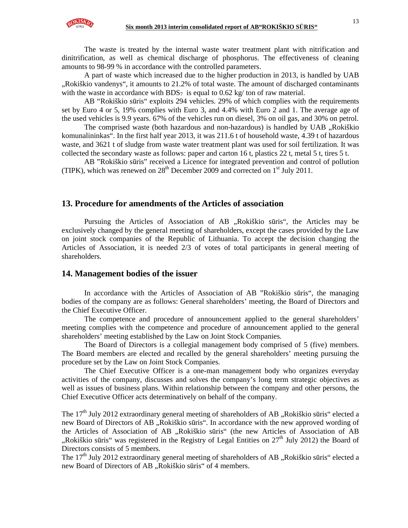

The waste is treated by the internal waste water treatment plant with nitrification and dinitrification, as well as chemical discharge of phosphorus. The effectiveness of cleaning amounts to 98-99 % in accordance with the controlled parameters.

A part of waste which increased due to the higher production in 2013, is handled by UAB "Rokiškio vandenys", it amounts to 21.2% of total waste. The amount of discharged contaminants with the waste in accordance with  $BDS<sub>7</sub>$  is equal to 0.62 kg/ ton of raw material.

AB "Rokiškio sūris" exploits 294 vehicles. 29% of which complies with the requirements set by Euro 4 or 5, 19% complies with Euro 3, and 4.4% with Euro 2 and 1. The average age of the used vehicles is 9.9 years. 67% of the vehicles run on diesel, 3% on oil gas, and 30% on petrol.

The comprised waste (both hazardous and non-hazardous) is handled by UAB "Rokiškio komunalininkas". In the first half year 2013, it was 211.6 t of household waste, 4.39 t of hazardous waste, and 3621 t of sludge from waste water treatment plant was used for soil fertilization. It was collected the secondary waste as follows: paper and carton 16 t, plastics 22 t, metal 5 t, tires 5 t.

AB "Rokiškio sūris" received a Licence for integrated prevention and control of pollution (TIPK), which was renewed on  $28<sup>th</sup>$  December 2009 and corrected on  $1<sup>st</sup>$  July 2011.

## **13. Procedure for amendments of the Articles of association**

Pursuing the Articles of Association of AB "Rokiškio sūris", the Articles may be exclusively changed by the general meeting of shareholders, except the cases provided by the Law on joint stock companies of the Republic of Lithuania. To accept the decision changing the Articles of Association, it is needed 2/3 of votes of total participants in general meeting of shareholders.

#### **14. Management bodies of the issuer**

In accordance with the Articles of Association of AB "Rokiškio sūris", the managing bodies of the company are as follows: General shareholders' meeting, the Board of Directors and the Chief Executive Officer.

The competence and procedure of announcement applied to the general shareholders' meeting complies with the competence and procedure of announcement applied to the general shareholders' meeting established by the Law on Joint Stock Companies.

The Board of Directors is a collegial management body comprised of 5 (five) members. The Board members are elected and recalled by the general shareholders' meeting pursuing the procedure set by the Law on Joint Stock Companies.

The Chief Executive Officer is a one-man management body who organizes everyday activities of the company, discusses and solves the company's long term strategic objectives as well as issues of business plans. Within relationship between the company and other persons, the Chief Executive Officer acts determinatively on behalf of the company.

The 17<sup>th</sup> July 2012 extraordinary general meeting of shareholders of AB "Rokiškio sūris" elected a new Board of Directors of AB "Rokiškio sūris". In accordance with the new approved wording of the Articles of Association of AB "Rokiškio sūris" (the new Articles of Association of AB "Rokiškio sūris" was registered in the Registry of Legal Entities on  $27<sup>th</sup>$  July 2012) the Board of Directors consists of 5 members.

The  $17<sup>th</sup>$  July 2012 extraordinary general meeting of shareholders of AB "Rokiškio sūris" elected a new Board of Directors of AB "Rokiškio sūris" of 4 members.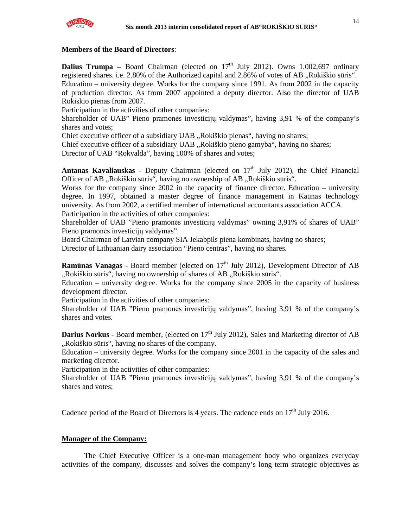

### **Members of the Board of Directors**:

**Dalius Trumpa** – Board Chairman (elected on  $17<sup>th</sup>$  July 2012). Owns 1,002,697 ordinary registered shares. i.e. 2.80% of the Authorized capital and 2.86% of votes of AB "Rokiškio sūris". Education – university degree. Works for the company since 1991. As from 2002 in the capacity of production director. As from 2007 appointed a deputy director. Also the director of UAB Rokiskio pienas from 2007.

Participation in the activities of other companies:

Shareholder of UAB" Pieno pramonės investicijų valdymas", having 3,91 % of the company's shares and votes;

Chief executive officer of a subsidiary UAB "Rokiškio pienas", having no shares;

Chief executive officer of a subsidiary UAB "Rokiškio pieno gamyba", having no shares;

Director of UAB "Rokvalda", having 100% of shares and votes;

**Antanas Kavaliauskas** - Deputy Chairman (elected on  $17<sup>th</sup>$  July 2012), the Chief Financial Officer of AB "Rokiškio sūris", having no ownership of AB "Rokiškio sūris".

Works for the company since 2002 in the capacity of finance director. Education – university degree. In 1997, obtained a master degree of finance management in Kaunas technology university. As from 2002, a certified member of international accountants association ACCA. Participation in the activities of other companies:

Shareholder of UAB "Pieno pramonės investicijų valdymas" owning 3,91% of shares of UAB" Pieno pramonės investicijų valdymas".

Board Chairman of Latvian company SIA Jekabpils piena kombinats, having no shares;

Director of Lithuanian dairy association "Pieno centras", having no shares.

**Ramūnas Vanagas -** Board member (elected on 17<sup>th</sup> July 2012), Development Director of AB "Rokiškio sūris", having no ownership of shares of AB "Rokiškio sūris".

Education – university degree. Works for the company since 2005 in the capacity of business development director.

Participation in the activities of other companies:

Shareholder of UAB "Pieno pramonės investicijų valdymas", having 3,91 % of the company's shares and votes.

**Darius Norkus - Board member, (elected on 17<sup>th</sup> July 2012), Sales and Marketing director of AB** "Rokiškio sūris", having no shares of the company.

Education – university degree. Works for the company since 2001 in the capacity of the sales and marketing director.

Participation in the activities of other companies:

Shareholder of UAB "Pieno pramonės investicijų valdymas", having 3,91 % of the company's shares and votes;

Cadence period of the Board of Directors is 4 years. The cadence ends on  $17<sup>th</sup>$  July 2016.

## **Manager of the Company:**

The Chief Executive Officer is a one-man management body who organizes everyday activities of the company, discusses and solves the company's long term strategic objectives as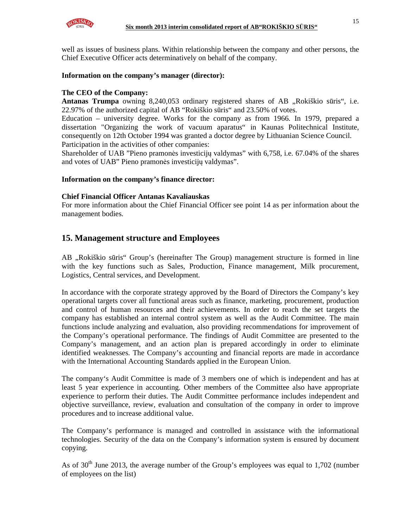

well as issues of business plans. Within relationship between the company and other persons, the Chief Executive Officer acts determinatively on behalf of the company.

### **Information on the company's manager (director):**

## **The CEO of the Company:**

Antanas Trumpa owning 8,240,053 ordinary registered shares of AB "Rokiškio sūris", i.e. 22.97% of the authorized capital of AB "Rokiškio sūris" and 23.50% of votes.

Education – university degree. Works for the company as from 1966. In 1979, prepared a dissertation "Organizing the work of vacuum aparatus" in Kaunas Politechnical Institute, consequently on 12th October 1994 was granted a doctor degree by Lithuanian Science Council. Participation in the activities of other companies:

Shareholder of UAB "Pieno pramonės investicijų valdymas" with 6,758, i.e. 67.04% of the shares and votes of UAB" Pieno pramonės investicijų valdymas".

#### **Information on the company's finance director:**

#### **Chief Financial Officer Antanas Kavaliauskas**

For more information about the Chief Financial Officer see point 14 as per information about the management bodies.

## **15. Management structure and Employees**

AB "Rokiškio sūris" Group's (hereinafter The Group) management structure is formed in line with the key functions such as Sales, Production, Finance management, Milk procurement, Logistics, Central services, and Development.

In accordance with the corporate strategy approved by the Board of Directors the Company's key operational targets cover all functional areas such as finance, marketing, procurement, production and control of human resources and their achievements. In order to reach the set targets the company has established an internal control system as well as the Audit Committee. The main functions include analyzing and evaluation, also providing recommendations for improvement of the Company's operational performance. The findings of Audit Committee are presented to the Company's management, and an action plan is prepared accordingly in order to eliminate identified weaknesses. The Company's accounting and financial reports are made in accordance with the International Accounting Standards applied in the European Union.

The company's Audit Committee is made of 3 members one of which is independent and has at least 5 year experience in accounting. Other members of the Committee also have appropriate experience to perform their duties. The Audit Committee performance includes independent and objective surveillance, review, evaluation and consultation of the company in order to improve procedures and to increase additional value.

The Company's performance is managed and controlled in assistance with the informational technologies. Security of the data on the Company's information system is ensured by document copying.

As of  $30<sup>th</sup>$  June 2013, the average number of the Group's employees was equal to 1,702 (number of employees on the list)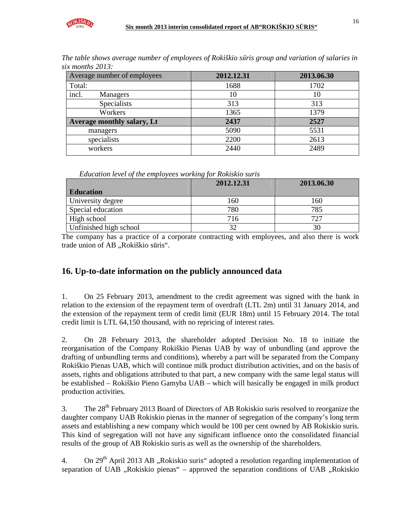

| The table shows average number of employees of Rokiškio sūris group and variation of salaries in |  |  |  |
|--------------------------------------------------------------------------------------------------|--|--|--|
| six months 2013:                                                                                 |  |  |  |

| Average number of employees | 2012.12.31 | 2013.06.30 |
|-----------------------------|------------|------------|
| Total:                      | 1688       | 1702       |
| incl.<br>Managers           | 10         | 10         |
| <b>Specialists</b>          | 313        | 313        |
| Workers                     | 1365       | 1379       |
| Average monthly salary, Lt  | 2437       | 2527       |
| managers                    | 5090       | 5531       |
| specialists                 | 2200       | 2613       |
| workers                     | 2440       | 2489       |

*Education level of the employees working for Rokiskio suris* 

|                        | 2012.12.31<br>2013.06.30 |     |
|------------------------|--------------------------|-----|
| <b>Education</b>       |                          |     |
| University degree      | 160                      | 160 |
| Special education      | 780                      | 785 |
| High school            | 716                      | 727 |
| Unfinished high school | 32                       |     |

The company has a practice of a corporate contracting with employees, and also there is work trade union of AB "Rokiškio sūris".

## **16. Up-to-date information on the publicly announced data**

1. On 25 February 2013, amendment to the credit agreement was signed with the bank in relation to the extension of the repayment term of overdraft (LTL 2m) until 31 January 2014, and the extension of the repayment term of credit limit (EUR 18m) until 15 February 2014. The total credit limit is LTL 64,150 thousand, with no repricing of interest rates.

2. On 28 February 2013, the shareholder adopted Decision No. 18 to initiate the reorganisation of the Company Rokiškio Pienas UAB by way of unbundling (and approve the drafting of unbundling terms and conditions), whereby a part will be separated from the Company Rokiškio Pienas UAB, which will continue milk product distribution activities, and on the basis of assets, rights and obligations attributed to that part, a new company with the same legal status will be established – Rokiškio Pieno Gamyba UAB – which will basically be engaged in milk product production activities.

3. The 28<sup>th</sup> February 2013 Board of Directors of AB Rokiskio suris resolved to reorganize the daughter company UAB Rokiskio pienas in the manner of segregation of the company's long term assets and establishing a new company which would be 100 per cent owned by AB Rokiskio suris. This kind of segregation will not have any significant influence onto the consolidated financial results of the group of AB Rokiskio suris as well as the ownership of the shareholders.

4. On  $29<sup>th</sup>$  April 2013 AB "Rokiskio suris" adopted a resolution regarding implementation of separation of UAB  $\alpha$ Rokiskio pienas" – approved the separation conditions of UAB  $\alpha$ Rokiskio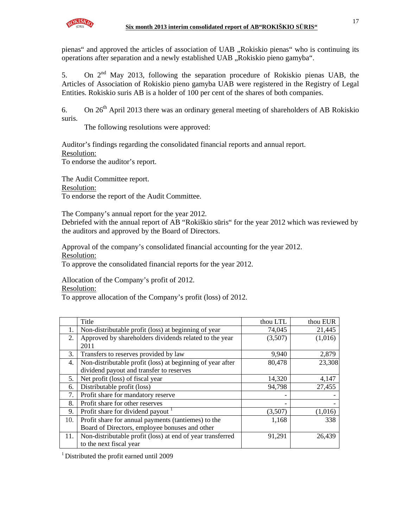

pienas" and approved the articles of association of UAB "Rokiskio pienas" who is continuing its operations after separation and a newly established UAB "Rokiskio pieno gamyba".

5. On  $2<sup>nd</sup>$  May 2013, following the separation procedure of Rokiskio pienas UAB, the Articles of Association of Rokiskio pieno gamyba UAB were registered in the Registry of Legal Entities. Rokiskio suris AB is a holder of 100 per cent of the shares of both companies.

6. On  $26<sup>th</sup>$  April 2013 there was an ordinary general meeting of shareholders of AB Rokiskio suris.

The following resolutions were approved:

Auditor's findings regarding the consolidated financial reports and annual report. Resolution:

To endorse the auditor's report.

The Audit Committee report. Resolution: To endorse the report of the Audit Committee.

The Company's annual report for the year 2012.

Debriefed with the annual report of AB "Rokiškio sūris" for the year 2012 which was reviewed by the auditors and approved by the Board of Directors.

Approval of the company's consolidated financial accounting for the year 2012. Resolution:

To approve the consolidated financial reports for the year 2012.

Allocation of the Company's profit of 2012.

Resolution:

To approve allocation of the Company's profit (loss) of 2012.

|     | Title                                                      | thou LTL | thou EUR |
|-----|------------------------------------------------------------|----------|----------|
|     | Non-distributable profit (loss) at beginning of year       | 74,045   | 21,445   |
| 2.  | Approved by shareholders dividends related to the year     | (3,507)  | (1,016)  |
|     | 2011                                                       |          |          |
| 3.  | Transfers to reserves provided by law                      | 9,940    | 2,879    |
| 4.  | Non-distributable profit (loss) at beginning of year after | 80,478   | 23,308   |
|     | dividend payout and transfer to reserves                   |          |          |
| 5.  | Net profit (loss) of fiscal year                           | 14,320   | 4,147    |
| 6.  | Distributable profit (loss)                                | 94,798   | 27,455   |
| 7.  | Profit share for mandatory reserve                         |          |          |
| 8.  | Profit share for other reserves                            |          |          |
| 9.  | Profit share for dividend payout                           | (3,507)  | (1,016)  |
| 10. | Profit share for annual payments (tantiemes) to the        | 1,168    | 338      |
|     | Board of Directors, employee bonuses and other             |          |          |
| 11. | Non-distributable profit (loss) at end of year transferred | 91,291   | 26,439   |
|     | to the next fiscal year                                    |          |          |

 $1$  Distributed the profit earned until 2009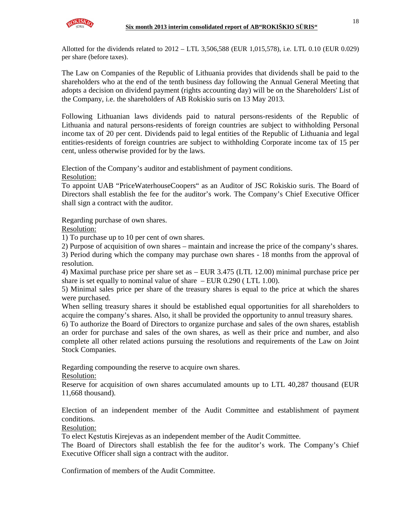Allotted for the dividends related to 2012 – LTL 3,506,588 (EUR 1,015,578), i.e. LTL 0.10 (EUR 0.029) per share (before taxes).

The Law on Companies of the Republic of Lithuania provides that dividends shall be paid to the shareholders who at the end of the tenth business day following the Annual General Meeting that adopts a decision on dividend payment (rights accounting day) will be on the Shareholders' List of the Company, i.e. the shareholders of AB Rokiskio suris on 13 May 2013.

Following Lithuanian laws dividends paid to natural persons-residents of the Republic of Lithuania and natural persons-residents of foreign countries are subject to withholding Personal income tax of 20 per cent. Dividends paid to legal entities of the Republic of Lithuania and legal entities-residents of foreign countries are subject to withholding Corporate income tax of 15 per cent, unless otherwise provided for by the laws.

Election of the Company's auditor and establishment of payment conditions.

Resolution:

To appoint UAB "PriceWaterhouseCoopers" as an Auditor of JSC Rokiskio suris. The Board of Directors shall establish the fee for the auditor's work. The Company's Chief Executive Officer shall sign a contract with the auditor.

Regarding purchase of own shares.

Resolution:

1) To purchase up to 10 per cent of own shares.

2) Purpose of acquisition of own shares – maintain and increase the price of the company's shares.

3) Period during which the company may purchase own shares - 18 months from the approval of resolution.

4) Maximal purchase price per share set as – EUR 3.475 (LTL 12.00) minimal purchase price per share is set equally to nominal value of share – EUR 0.290 ( LTL 1.00).

5) Minimal sales price per share of the treasury shares is equal to the price at which the shares were purchased.

When selling treasury shares it should be established equal opportunities for all shareholders to acquire the company's shares. Also, it shall be provided the opportunity to annul treasury shares.

6) To authorize the Board of Directors to organize purchase and sales of the own shares, establish an order for purchase and sales of the own shares, as well as their price and number, and also complete all other related actions pursuing the resolutions and requirements of the Law on Joint Stock Companies.

Regarding compounding the reserve to acquire own shares.

Resolution:

Reserve for acquisition of own shares accumulated amounts up to LTL 40,287 thousand (EUR 11,668 thousand).

Election of an independent member of the Audit Committee and establishment of payment conditions.

Resolution:

To elect Kęstutis Kirejevas as an independent member of the Audit Committee.

The Board of Directors shall establish the fee for the auditor's work. The Company's Chief Executive Officer shall sign a contract with the auditor.

Confirmation of members of the Audit Committee.